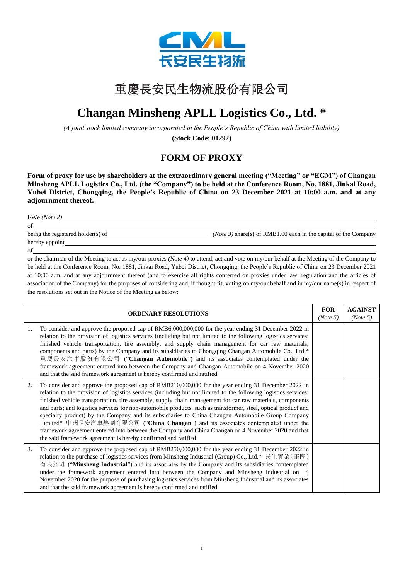

## 重慶長安民生物流股份有限公司

## $\mathbf{r}$ **Changan Minsheng APLL Logistics Co., Ltd. \***

*(A joint stock limited company incorporated in the People's Republic of China with limited liability)*

**(Stock Code: 01292)**

## **FORM OF PROXY**

**Form of proxy for use by shareholders at the extraordinary general meeting ("Meeting" or "EGM") of Changan Minsheng APLL Logistics Co., Ltd. (the "Company") to be held at the Conference Room, No. 1881, Jinkai Road, Yubei District, Chongqing, the People's Republic of China on 23 December 2021 at 10:00 a.m. and at any adjournment thereof.**

| I/We $(Note 2)$                   |                                                                          |
|-----------------------------------|--------------------------------------------------------------------------|
| of                                |                                                                          |
| being the registered holder(s) of | ( <i>Note 3</i> ) share(s) of RMB1.00 each in the capital of the Company |

hereby appoint

of

or the chairman of the Meeting to act as my/our proxies *(Note 4)* to attend, act and vote on my/our behalf at the Meeting of the Company to be held at the Conference Room, No. 1881, Jinkai Road, Yubei District, Chongqing, the People's Republic of China on 23 December 2021 at 10:00 a.m. and at any adjournment thereof (and to exercise all rights conferred on proxies under law, regulation and the articles of association of the Company) for the purposes of considering and, if thought fit, voting on my/our behalf and in my/our name(s) in respect of the resolutions set out in the Notice of the Meeting as below:

| <b>ORDINARY RESOLUTIONS</b> |                                                                                                                                                                                                                                                                                                                                                                                                                                                                                                                                                                                                                                                                                                                                                                                                                      | <b>FOR</b><br>(Note 5) | <b>AGAINST</b><br>(Note 5) |
|-----------------------------|----------------------------------------------------------------------------------------------------------------------------------------------------------------------------------------------------------------------------------------------------------------------------------------------------------------------------------------------------------------------------------------------------------------------------------------------------------------------------------------------------------------------------------------------------------------------------------------------------------------------------------------------------------------------------------------------------------------------------------------------------------------------------------------------------------------------|------------------------|----------------------------|
| 1.                          | To consider and approve the proposed cap of RMB6,000,000,000 for the year ending 31 December 2022 in<br>relation to the provision of logistics services (including but not limited to the following logistics services:<br>finished vehicle transportation, tire assembly, and supply chain management for car raw materials,<br>components and parts) by the Company and its subsidiaries to Chongqing Changan Automobile Co., Ltd.*<br>重慶長安汽車股份有限公司 ("Changan Automobile") and its associates contemplated under the<br>framework agreement entered into between the Company and Changan Automobile on 4 November 2020<br>and that the said framework agreement is hereby confirmed and ratified                                                                                                                   |                        |                            |
| 2.                          | To consider and approve the proposed cap of RMB210,000,000 for the year ending 31 December 2022 in<br>relation to the provision of logistics services (including but not limited to the following logistics services:<br>finished vehicle transportation, tire assembly, supply chain management for car raw materials, components<br>and parts; and logistics services for non-automobile products, such as transformer, steel, optical product and<br>specialty product) by the Company and its subsidiaries to China Changan Automobile Group Company<br>Limited* 中國長安汽車集團有限公司 ("China Changan") and its associates contemplated under the<br>framework agreement entered into between the Company and China Changan on 4 November 2020 and that<br>the said framework agreement is hereby confirmed and ratified |                        |                            |
| 3.                          | To consider and approve the proposed cap of RMB250,000,000 for the year ending 31 December 2022 in<br>relation to the purchase of logistics services from Minsheng Industrial (Group) Co., Ltd.* 民生實業(集團)<br>有限公司 ("Minsheng Industrial") and its associates by the Company and its subsidiaries contemplated<br>under the framework agreement entered into between the Company and Minsheng Industrial on 4<br>November 2020 for the purpose of purchasing logistics services from Minsheng Industrial and its associates<br>and that the said framework agreement is hereby confirmed and ratified                                                                                                                                                                                                                 |                        |                            |